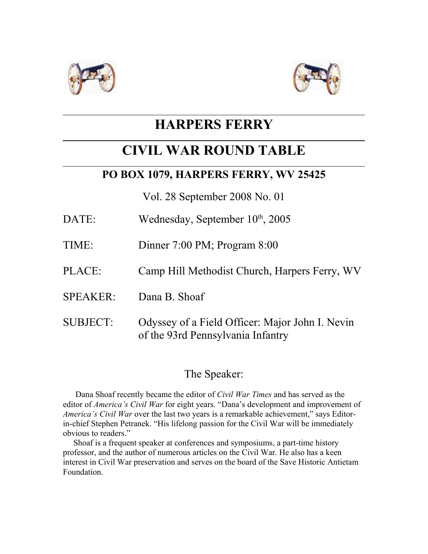



# **HARPERS FERRY**

# **CIVIL WAR ROUND TABLE**

### **PO BOX 1079, HARPERS FERRY, WV 25425**

Vol. 28 September 2008 No. 01

- DATE: Wednesday, September  $10<sup>th</sup>$ , 2005
- TIME: Dinner 7:00 PM; Program 8:00
- PLACE: Camp Hill Methodist Church, Harpers Ferry, WV
- SPEAKER: Dana B. Shoaf
- SUBJECT: Odyssey of a Field Officer: Major John I. Nevin of the 93rd Pennsylvania Infantry

## The Speaker:

 Dana Shoaf recently became the editor of *Civil War Times* and has served as the editor of *America's Civil War* for eight years. "Dana's development and improvement of *America's Civil War* over the last two years is a remarkable achievement," says Editorin-chief Stephen Petranek. "His lifelong passion for the Civil War will be immediately obvious to readers."

 Shoaf is a frequent speaker at conferences and symposiums, a part-time history professor, and the author of numerous articles on the Civil War. He also has a keen interest in Civil War preservation and serves on the board of the Save Historic Antietam Foundation.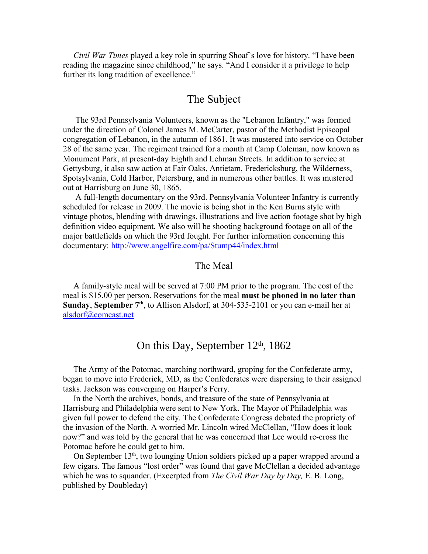*Civil War Times* played a key role in spurring Shoaf's love for history. "I have been reading the magazine since childhood," he says. "And I consider it a privilege to help further its long tradition of excellence."

### The Subject

 The 93rd Pennsylvania Volunteers, known as the "Lebanon Infantry," was formed under the direction of Colonel James M. McCarter, pastor of the Methodist Episcopal congregation of Lebanon, in the autumn of 1861. It was mustered into service on October 28 of the same year. The regiment trained for a month at Camp Coleman, now known as Monument Park, at present-day Eighth and Lehman Streets. In addition to service at Gettysburg, it also saw action at Fair Oaks, Antietam, Fredericksburg, the Wilderness, Spotsylvania, Cold Harbor, Petersburg, and in numerous other battles. It was mustered out at Harrisburg on June 30, 1865.

 A full-length documentary on the 93rd. Pennsylvania Volunteer Infantry is currently scheduled for release in 2009. The movie is being shot in the Ken Burns style with vintage photos, blending with drawings, illustrations and live action footage shot by high definition video equipment. We also will be shooting background footage on all of the major battlefields on which the 93rd fought. For further information concerning this documentary:<http://www.angelfire.com/pa/Stump44/index.html>

#### The Meal

 A family-style meal will be served at 7:00 PM prior to the program. The cost of the meal is \$15.00 per person. Reservations for the meal **must be phoned in no later than Sunday**, **September 7th**, to Allison Alsdorf, at 304-535-2101 or you can e-mail her at [alsdorf@comcast.net](mailto:alsdorf@comcast.net)

### On this Day, September  $12<sup>th</sup>$ , 1862

 The Army of the Potomac, marching northward, groping for the Confederate army, began to move into Frederick, MD, as the Confederates were dispersing to their assigned tasks. Jackson was converging on Harper's Ferry.

 In the North the archives, bonds, and treasure of the state of Pennsylvania at Harrisburg and Philadelphia were sent to New York. The Mayor of Philadelphia was given full power to defend the city. The Confederate Congress debated the propriety of the invasion of the North. A worried Mr. Lincoln wired McClellan, "How does it look now?" and was told by the general that he was concerned that Lee would re-cross the Potomac before he could get to him.

On September  $13<sup>th</sup>$ , two lounging Union soldiers picked up a paper wrapped around a few cigars. The famous "lost order" was found that gave McClellan a decided advantage which he was to squander. (Excerpted from *The Civil War Day by Day,* E. B. Long, published by Doubleday)